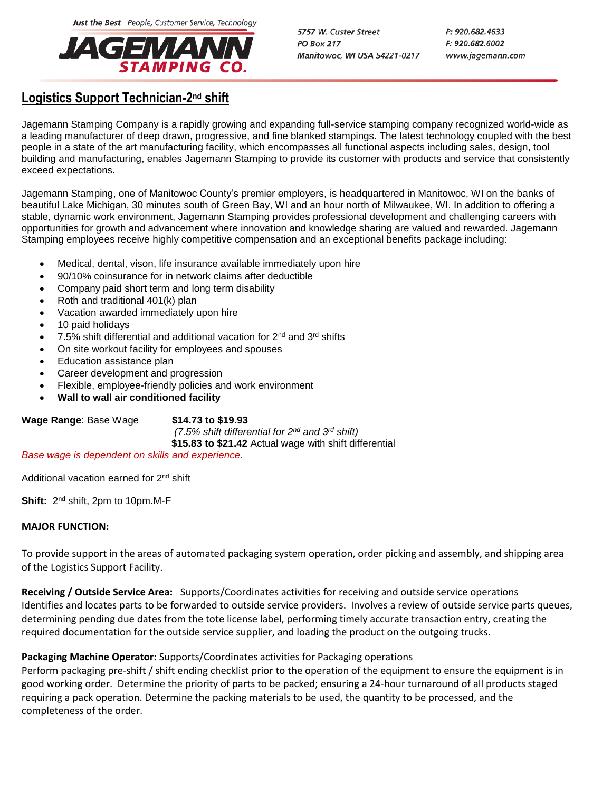Just the Best People, Customer Service, Technology



5757 W. Custer Street **PO Box 217** Manitowoc, WI USA 54221-0217 P: 920.682.4633 F: 920.682.6002 www.jagemann.com

## **Logistics Support Technician-2<sup>nd</sup> shift**

Jagemann Stamping Company is a rapidly growing and expanding full-service stamping company recognized world-wide as a leading manufacturer of deep drawn, progressive, and fine blanked stampings. The latest technology coupled with the best people in a state of the art manufacturing facility, which encompasses all functional aspects including sales, design, tool building and manufacturing, enables Jagemann Stamping to provide its customer with products and service that consistently exceed expectations.

Jagemann Stamping, one of Manitowoc County's premier employers, is headquartered in Manitowoc, WI on the banks of beautiful Lake Michigan, 30 minutes south of Green Bay, WI and an hour north of Milwaukee, WI. In addition to offering a stable, dynamic work environment, Jagemann Stamping provides professional development and challenging careers with opportunities for growth and advancement where innovation and knowledge sharing are valued and rewarded. Jagemann Stamping employees receive highly competitive compensation and an exceptional benefits package including:

- Medical, dental, vison, life insurance available immediately upon hire
- 90/10% coinsurance for in network claims after deductible
- Company paid short term and long term disability
- Roth and traditional 401(k) plan
- Vacation awarded immediately upon hire
- 10 paid holidays
- 7.5% shift differential and additional vacation for 2nd and 3rd shifts
- On site workout facility for employees and spouses
- Education assistance plan
- Career development and progression
- Flexible, employee-friendly policies and work environment
- **Wall to wall air conditioned facility**

**Wage Range**: Base Wage **\$14.73 to \$19.93**  *(7.5% shift differential for 2nd and 3rd shift)*  **\$15.83 to \$21.42** Actual wage with shift differential

*Base wage is dependent on skills and experience.*

Additional vacation earned for 2<sup>nd</sup> shift

**Shift:** 2<sup>nd</sup> shift, 2pm to 10pm.M-F

## **MAJOR FUNCTION:**

To provide support in the areas of automated packaging system operation, order picking and assembly, and shipping area of the Logistics Support Facility.

**Receiving / Outside Service Area:** Supports/Coordinates activities for receiving and outside service operations Identifies and locates parts to be forwarded to outside service providers. Involves a review of outside service parts queues, determining pending due dates from the tote license label, performing timely accurate transaction entry, creating the required documentation for the outside service supplier, and loading the product on the outgoing trucks.

## **Packaging Machine Operator:** Supports/Coordinates activities for Packaging operations

Perform packaging pre-shift / shift ending checklist prior to the operation of the equipment to ensure the equipment is in good working order. Determine the priority of parts to be packed; ensuring a 24-hour turnaround of all products staged requiring a pack operation. Determine the packing materials to be used, the quantity to be processed, and the completeness of the order.